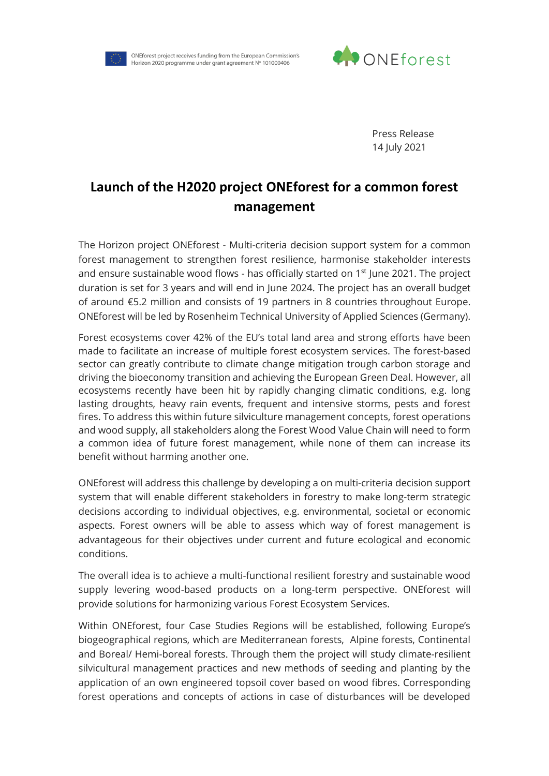

ONEforest project receives funding from the European Commission's Horizon 2020 programme under grant agreement Nº 101000406



Press Release 14 July 2021

## **Launch of the H2020 project ONEforest for a common forest management**

The Horizon project ONEforest - Multi-criteria decision support system for a common forest management to strengthen forest resilience, harmonise stakeholder interests and ensure sustainable wood flows - has officially started on  $1<sup>st</sup>$  June 2021. The project duration is set for 3 years and will end in June 2024. The project has an overall budget of around €5.2 million and consists of 19 partners in 8 countries throughout Europe. ONEforest will be led by Rosenheim Technical University of Applied Sciences (Germany).

Forest ecosystems cover 42% of the EU's total land area and strong efforts have been made to facilitate an increase of multiple forest ecosystem services. The forest-based sector can greatly contribute to climate change mitigation trough carbon storage and driving the bioeconomy transition and achieving the European Green Deal. However, all ecosystems recently have been hit by rapidly changing climatic conditions, e.g. long lasting droughts, heavy rain events, frequent and intensive storms, pests and forest fires. To address this within future silviculture management concepts, forest operations and wood supply, all stakeholders along the Forest Wood Value Chain will need to form a common idea of future forest management, while none of them can increase its benefit without harming another one.

ONEforest will address this challenge by developing a on multi-criteria decision support system that will enable different stakeholders in forestry to make long-term strategic decisions according to individual objectives, e.g. environmental, societal or economic aspects. Forest owners will be able to assess which way of forest management is advantageous for their objectives under current and future ecological and economic conditions.

The overall idea is to achieve a multi-functional resilient forestry and sustainable wood supply levering wood-based products on a long-term perspective. ONEforest will provide solutions for harmonizing various Forest Ecosystem Services.

Within ONEforest, four Case Studies Regions will be established, following Europe's biogeographical regions, which are Mediterranean forests, Alpine forests, Continental and Boreal/ Hemi-boreal forests. Through them the project will study climate-resilient silvicultural management practices and new methods of seeding and planting by the application of an own engineered topsoil cover based on wood fibres. Corresponding forest operations and concepts of actions in case of disturbances will be developed